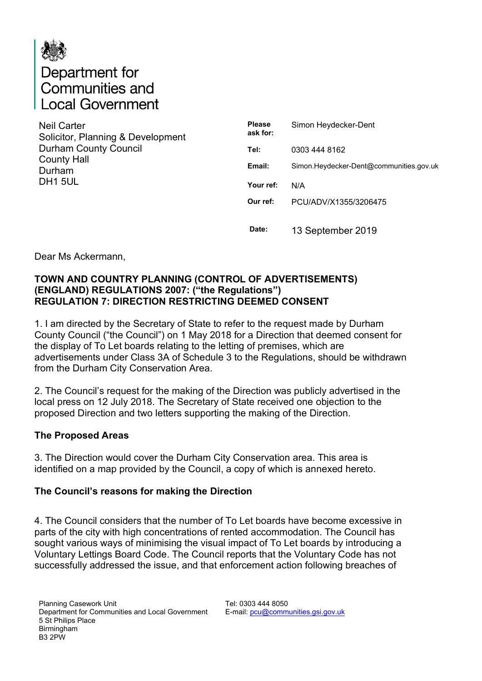

# Department for<br>Communities and ocal Government

| <b>Neil Carter</b>                |
|-----------------------------------|
| Solicitor, Planning & Development |
| <b>Durham County Council</b>      |
| <b>County Hall</b>                |
| Durham                            |
| DH <sub>1</sub> 5UL               |
|                                   |

| <b>Please</b><br>ask for: | Simon Heydecker-Dent                    |
|---------------------------|-----------------------------------------|
| Tel:                      | 0303 444 8162                           |
| Email:                    | Simon.Heydecker-Dent@communities.gov.uk |
| Your ref:                 | N/A                                     |
| Our ref:                  | PCU/ADV/X1355/3206475                   |
| Date:                     | 13 September 2019                       |

Dear Ms Ackermann,

#### **TOWN AND COUNTRY PLANNING (CONTROL OF ADVERTISEMENTS) (ENGLAND) REGULATIONS 2007: ("the Regulations") REGULATION 7: DIRECTION RESTRICTING DEEMED CONSENT**

1. I am directed by the Secretary of State to refer to the request made by Durham County Council ("the Council") on 1 May 2018 for a Direction that deemed consent for the display of To Let boards relating to the letting of premises, which are advertisements under Class 3A of Schedule 3 to the Regulations, should be withdrawn from the Durham City Conservation Area.

2. The Council's request for the making of the Direction was publicly advertised in the local press on 12 July 2018. The Secretary of State received one objection to the proposed Direction and two letters supporting the making of the Direction.

#### **The Proposed Areas**

3. The Direction would cover the Durham City Conservation area. This area is identified on a map provided by the Council, a copy of which is annexed hereto.

#### **The Council's reasons for making the Direction**

4. The Council considers that the number of To Let boards have become excessive in parts of the city with high concentrations of rented accommodation. The Council has sought various ways of minimising the visual impact of To Let boards by introducing a Voluntary Lettings Board Code. The Council reports that the Voluntary Code has not successfully addressed the issue, and that enforcement action following breaches of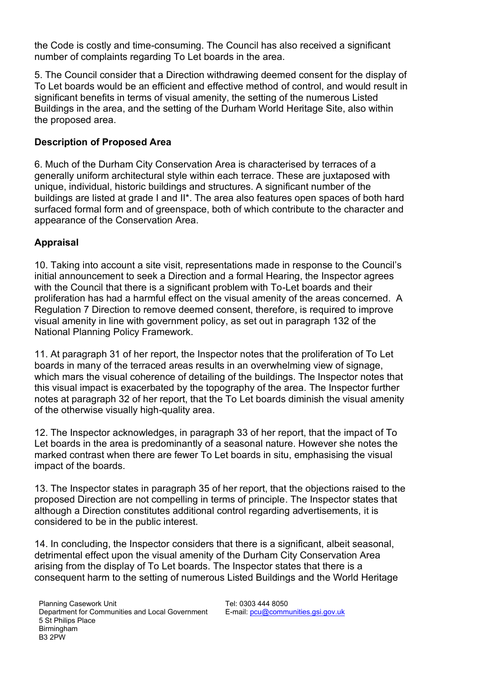the Code is costly and time-consuming. The Council has also received a significant number of complaints regarding To Let boards in the area.

5. The Council consider that a Direction withdrawing deemed consent for the display of To Let boards would be an efficient and effective method of control, and would result in significant benefits in terms of visual amenity, the setting of the numerous Listed Buildings in the area, and the setting of the Durham World Heritage Site, also within the proposed area.

### **Description of Proposed Area**

6. Much of the Durham City Conservation Area is characterised by terraces of a generally uniform architectural style within each terrace. These are juxtaposed with unique, individual, historic buildings and structures. A significant number of the buildings are listed at grade I and II\*. The area also features open spaces of both hard surfaced formal form and of greenspace, both of which contribute to the character and appearance of the Conservation Area.

## **Appraisal**

10. Taking into account a site visit, representations made in response to the Council's initial announcement to seek a Direction and a formal Hearing, the Inspector agrees with the Council that there is a significant problem with To-Let boards and their proliferation has had a harmful effect on the visual amenity of the areas concerned. A Regulation 7 Direction to remove deemed consent, therefore, is required to improve visual amenity in line with government policy, as set out in paragraph 132 of the National Planning Policy Framework.

11. At paragraph 31 of her report, the Inspector notes that the proliferation of To Let boards in many of the terraced areas results in an overwhelming view of signage, which mars the visual coherence of detailing of the buildings. The Inspector notes that this visual impact is exacerbated by the topography of the area. The Inspector further notes at paragraph 32 of her report, that the To Let boards diminish the visual amenity of the otherwise visually high-quality area.

12. The Inspector acknowledges, in paragraph 33 of her report, that the impact of To Let boards in the area is predominantly of a seasonal nature. However she notes the marked contrast when there are fewer To Let boards in situ, emphasising the visual impact of the boards.

13. The Inspector states in paragraph 35 of her report, that the objections raised to the proposed Direction are not compelling in terms of principle. The Inspector states that although a Direction constitutes additional control regarding advertisements, it is considered to be in the public interest.

14. In concluding, the Inspector considers that there is a significant, albeit seasonal, detrimental effect upon the visual amenity of the Durham City Conservation Area arising from the display of To Let boards. The Inspector states that there is a consequent harm to the setting of numerous Listed Buildings and the World Heritage